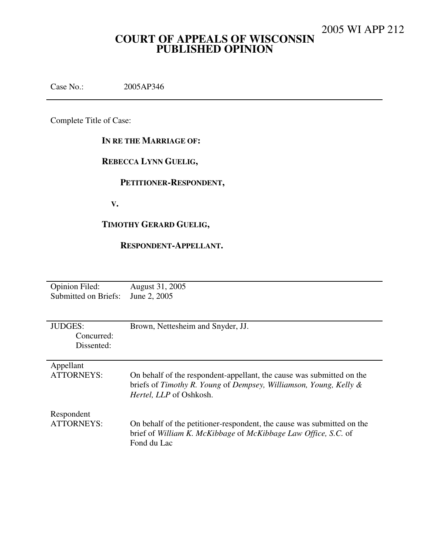## **COURT OF APPEALS OF WISCONSIN PUBLISHED OPINION**

Case No.: 2005AP346

Complete Title of Case:

### **IN RE THE MARRIAGE OF:**

## **REBECCA LYNN GUELIG,**

## **PETITIONER-RESPONDENT,**

 **V.** 

## **TIMOTHY GERARD GUELIG,**

#### **RESPONDENT-APPELLANT.**

| <b>Opinion Filed:</b> | August 31, 2005                                                        |
|-----------------------|------------------------------------------------------------------------|
| Submitted on Briefs:  | June 2, 2005                                                           |
|                       |                                                                        |
|                       |                                                                        |
| <b>JUDGES:</b>        | Brown, Nettesheim and Snyder, JJ.                                      |
| Concurred:            |                                                                        |
| Dissented:            |                                                                        |
|                       |                                                                        |
| Appellant             |                                                                        |
| ATTORNEYS:            | On behalf of the respondent-appellant, the cause was submitted on the  |
|                       | briefs of Timothy R. Young of Dempsey, Williamson, Young, Kelly $\&$   |
|                       | Hertel, LLP of Oshkosh.                                                |
|                       |                                                                        |
| Respondent            |                                                                        |
| <b>ATTORNEYS:</b>     | On behalf of the petitioner-respondent, the cause was submitted on the |
|                       | brief of William K. McKibbage of McKibbage Law Office, S.C. of         |
|                       | Fond du Lac                                                            |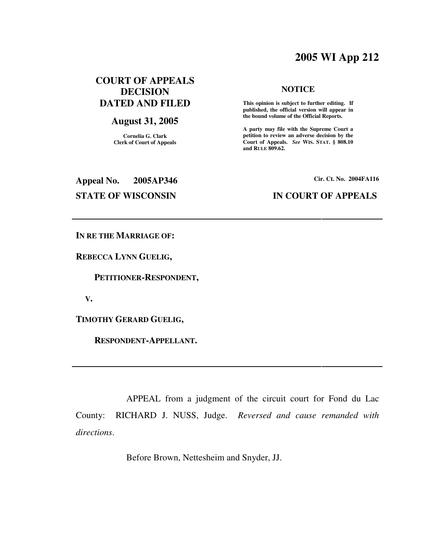## **2005 WI App 212**

## **COURT OF APPEALS DECISION DATED AND FILED**

### **August 31, 2005**

**Cornelia G. Clark Clerk of Court of Appeals**

#### **NOTICE**

 **This opinion is subject to further editing. If published, the official version will appear in the bound volume of the Official Reports.** 

**A party may file with the Supreme Court a petition to review an adverse decision by the Court of Appeals.** *See* **WIS. STAT. § 808.10 and RULE 809.62.** 

**Appeal No. 2005AP346 Cir. Ct. No. 2004FA116**

#### **STATE OF WISCONSIN IN COURT OF APPEALS**

**IN RE THE MARRIAGE OF:** 

**REBECCA LYNN GUELIG,** 

 **PETITIONER-RESPONDENT,** 

 **V.** 

**TIMOTHY GERARD GUELIG,** 

 **RESPONDENT-APPELLANT.** 

 APPEAL from a judgment of the circuit court for Fond du Lac County: RICHARD J. NUSS, Judge. *Reversed and cause remanded with directions*.

Before Brown, Nettesheim and Snyder, JJ.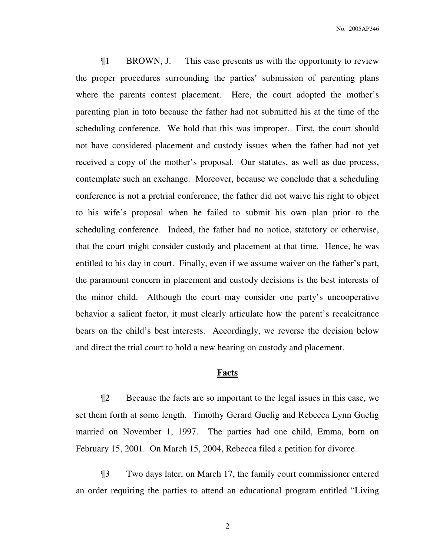¶1 BROWN, J. This case presents us with the opportunity to review the proper procedures surrounding the parties' submission of parenting plans where the parents contest placement. Here, the court adopted the mother's parenting plan in toto because the father had not submitted his at the time of the scheduling conference. We hold that this was improper. First, the court should not have considered placement and custody issues when the father had not yet received a copy of the mother's proposal. Our statutes, as well as due process, contemplate such an exchange. Moreover, because we conclude that a scheduling conference is not a pretrial conference, the father did not waive his right to object to his wife's proposal when he failed to submit his own plan prior to the scheduling conference. Indeed, the father had no notice, statutory or otherwise, that the court might consider custody and placement at that time. Hence, he was entitled to his day in court. Finally, even if we assume waiver on the father's part, the paramount concern in placement and custody decisions is the best interests of the minor child. Although the court may consider one party's uncooperative behavior a salient factor, it must clearly articulate how the parent's recalcitrance bears on the child's best interests. Accordingly, we reverse the decision below and direct the trial court to hold a new hearing on custody and placement.

#### **Facts**

¶2 Because the facts are so important to the legal issues in this case, we set them forth at some length. Timothy Gerard Guelig and Rebecca Lynn Guelig married on November 1, 1997. The parties had one child, Emma, born on February 15, 2001. On March 15, 2004, Rebecca filed a petition for divorce.

¶3 Two days later, on March 17, the family court commissioner entered an order requiring the parties to attend an educational program entitled "Living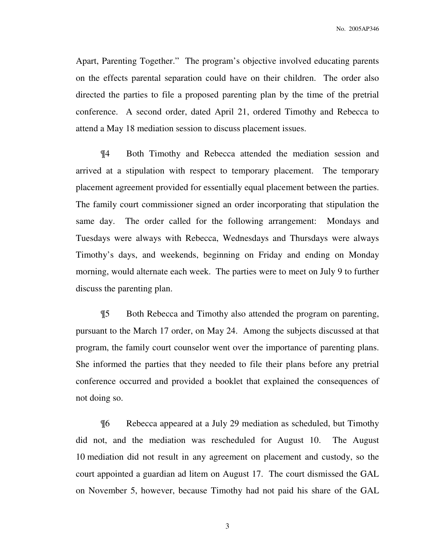No. 2005AP346

Apart, Parenting Together." The program's objective involved educating parents on the effects parental separation could have on their children. The order also directed the parties to file a proposed parenting plan by the time of the pretrial conference. A second order, dated April 21, ordered Timothy and Rebecca to attend a May 18 mediation session to discuss placement issues.

¶4 Both Timothy and Rebecca attended the mediation session and arrived at a stipulation with respect to temporary placement. The temporary placement agreement provided for essentially equal placement between the parties. The family court commissioner signed an order incorporating that stipulation the same day. The order called for the following arrangement: Mondays and Tuesdays were always with Rebecca, Wednesdays and Thursdays were always Timothy's days, and weekends, beginning on Friday and ending on Monday morning, would alternate each week. The parties were to meet on July 9 to further discuss the parenting plan.

¶5 Both Rebecca and Timothy also attended the program on parenting, pursuant to the March 17 order, on May 24. Among the subjects discussed at that program, the family court counselor went over the importance of parenting plans. She informed the parties that they needed to file their plans before any pretrial conference occurred and provided a booklet that explained the consequences of not doing so.

¶6 Rebecca appeared at a July 29 mediation as scheduled, but Timothy did not, and the mediation was rescheduled for August 10. The August 10 mediation did not result in any agreement on placement and custody, so the court appointed a guardian ad litem on August 17. The court dismissed the GAL on November 5, however, because Timothy had not paid his share of the GAL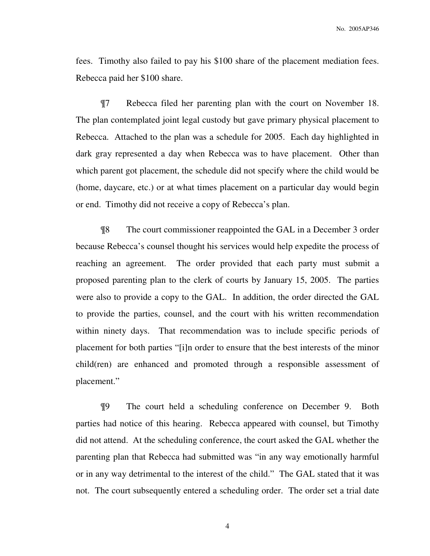fees. Timothy also failed to pay his \$100 share of the placement mediation fees. Rebecca paid her \$100 share.

¶7 Rebecca filed her parenting plan with the court on November 18. The plan contemplated joint legal custody but gave primary physical placement to Rebecca. Attached to the plan was a schedule for 2005. Each day highlighted in dark gray represented a day when Rebecca was to have placement. Other than which parent got placement, the schedule did not specify where the child would be (home, daycare, etc.) or at what times placement on a particular day would begin or end. Timothy did not receive a copy of Rebecca's plan.

¶8 The court commissioner reappointed the GAL in a December 3 order because Rebecca's counsel thought his services would help expedite the process of reaching an agreement. The order provided that each party must submit a proposed parenting plan to the clerk of courts by January 15, 2005. The parties were also to provide a copy to the GAL. In addition, the order directed the GAL to provide the parties, counsel, and the court with his written recommendation within ninety days. That recommendation was to include specific periods of placement for both parties "[i]n order to ensure that the best interests of the minor child(ren) are enhanced and promoted through a responsible assessment of placement."

¶9 The court held a scheduling conference on December 9. Both parties had notice of this hearing. Rebecca appeared with counsel, but Timothy did not attend. At the scheduling conference, the court asked the GAL whether the parenting plan that Rebecca had submitted was "in any way emotionally harmful or in any way detrimental to the interest of the child." The GAL stated that it was not. The court subsequently entered a scheduling order. The order set a trial date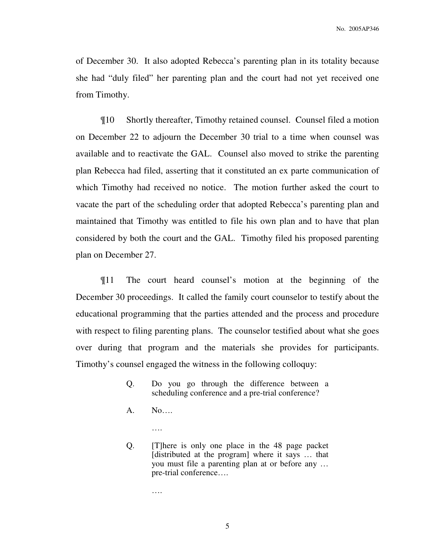of December 30. It also adopted Rebecca's parenting plan in its totality because she had "duly filed" her parenting plan and the court had not yet received one from Timothy.

¶10 Shortly thereafter, Timothy retained counsel. Counsel filed a motion on December 22 to adjourn the December 30 trial to a time when counsel was available and to reactivate the GAL. Counsel also moved to strike the parenting plan Rebecca had filed, asserting that it constituted an ex parte communication of which Timothy had received no notice. The motion further asked the court to vacate the part of the scheduling order that adopted Rebecca's parenting plan and maintained that Timothy was entitled to file his own plan and to have that plan considered by both the court and the GAL. Timothy filed his proposed parenting plan on December 27.

¶11 The court heard counsel's motion at the beginning of the December 30 proceedings. It called the family court counselor to testify about the educational programming that the parties attended and the process and procedure with respect to filing parenting plans. The counselor testified about what she goes over during that program and the materials she provides for participants. Timothy's counsel engaged the witness in the following colloquy:

- Q. Do you go through the difference between a scheduling conference and a pre-trial conference?
- A. No….

….

Q. [T]here is only one place in the 48 page packet [distributed at the program] where it says … that you must file a parenting plan at or before any … pre-trial conference….

….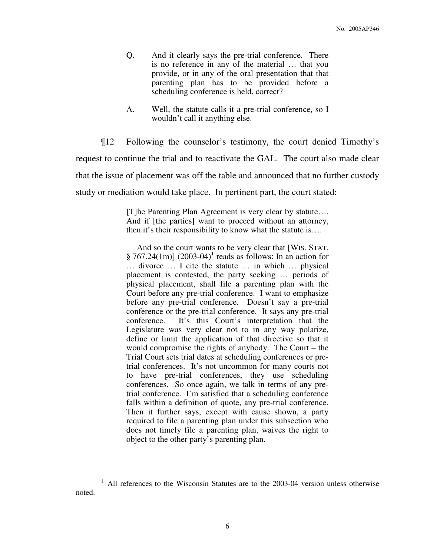- Q. And it clearly says the pre-trial conference. There is no reference in any of the material … that you provide, or in any of the oral presentation that that parenting plan has to be provided before a scheduling conference is held, correct?
- A. Well, the statute calls it a pre-trial conference, so I wouldn't call it anything else.

¶12 Following the counselor's testimony, the court denied Timothy's request to continue the trial and to reactivate the GAL. The court also made clear that the issue of placement was off the table and announced that no further custody study or mediation would take place. In pertinent part, the court stated:

> [T]he Parenting Plan Agreement is very clear by statute…. And if [the parties] want to proceed without an attorney, then it's their responsibility to know what the statute is….

> And so the court wants to be very clear that [WIS. STAT.  $\S 767.24(1m)$ ] (2003-04)<sup>1</sup> reads as follows: In an action for … divorce … I cite the statute … in which … physical placement is contested, the party seeking … periods of physical placement, shall file a parenting plan with the Court before any pre-trial conference. I want to emphasize before any pre-trial conference. Doesn't say a pre-trial conference or the pre-trial conference. It says any pre-trial conference. It's this Court's interpretation that the Legislature was very clear not to in any way polarize, define or limit the application of that directive so that it would compromise the rights of anybody. The Court – the Trial Court sets trial dates at scheduling conferences or pretrial conferences. It's not uncommon for many courts not to have pre-trial conferences, they use scheduling conferences. So once again, we talk in terms of any pretrial conference. I'm satisfied that a scheduling conference falls within a definition of quote, any pre-trial conference. Then it further says, except with cause shown, a party required to file a parenting plan under this subsection who does not timely file a parenting plan, waives the right to object to the other party's parenting plan.

 $\overline{a}$ 

<sup>&</sup>lt;sup>1</sup> All references to the Wisconsin Statutes are to the 2003-04 version unless otherwise noted.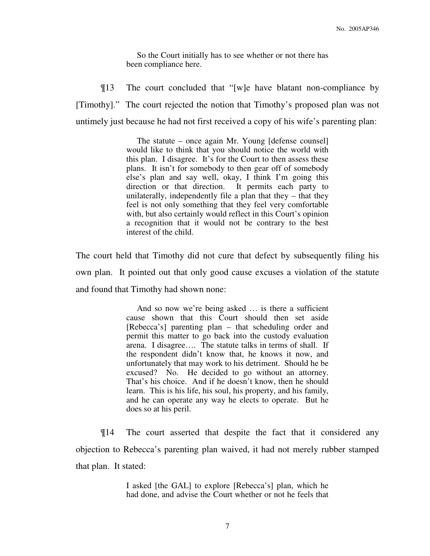So the Court initially has to see whether or not there has been compliance here.

¶13 The court concluded that "[w]e have blatant non-compliance by [Timothy]." The court rejected the notion that Timothy's proposed plan was not untimely just because he had not first received a copy of his wife's parenting plan:

> The statute – once again Mr. Young [defense counsel] would like to think that you should notice the world with this plan. I disagree. It's for the Court to then assess these plans. It isn't for somebody to then gear off of somebody else's plan and say well, okay, I think I'm going this direction or that direction. It permits each party to unilaterally, independently file a plan that they – that they feel is not only something that they feel very comfortable with, but also certainly would reflect in this Court's opinion a recognition that it would not be contrary to the best interest of the child.

The court held that Timothy did not cure that defect by subsequently filing his own plan. It pointed out that only good cause excuses a violation of the statute and found that Timothy had shown none:

> And so now we're being asked … is there a sufficient cause shown that this Court should then set aside [Rebecca's] parenting plan – that scheduling order and permit this matter to go back into the custody evaluation arena. I disagree…. The statute talks in terms of shall. If the respondent didn't know that, he knows it now, and unfortunately that may work to his detriment. Should he be excused? No. He decided to go without an attorney. That's his choice. And if he doesn't know, then he should learn. This is his life, his soul, his property, and his family, and he can operate any way he elects to operate. But he does so at his peril.

 ¶14 The court asserted that despite the fact that it considered any objection to Rebecca's parenting plan waived, it had not merely rubber stamped that plan. It stated:

> I asked [the GAL] to explore [Rebecca's] plan, which he had done, and advise the Court whether or not he feels that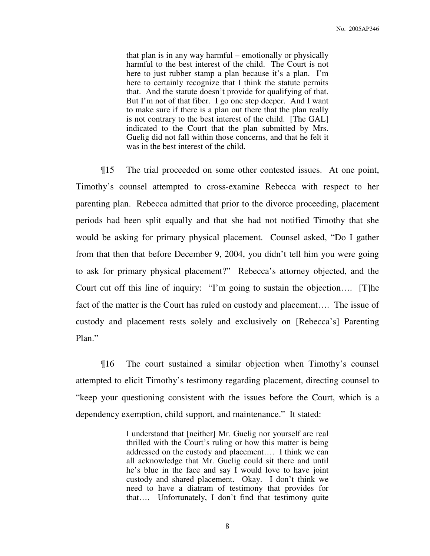that plan is in any way harmful – emotionally or physically harmful to the best interest of the child. The Court is not here to just rubber stamp a plan because it's a plan. I'm here to certainly recognize that I think the statute permits that. And the statute doesn't provide for qualifying of that. But I'm not of that fiber. I go one step deeper. And I want to make sure if there is a plan out there that the plan really is not contrary to the best interest of the child. [The GAL] indicated to the Court that the plan submitted by Mrs. Guelig did not fall within those concerns, and that he felt it was in the best interest of the child.

¶15 The trial proceeded on some other contested issues. At one point, Timothy's counsel attempted to cross-examine Rebecca with respect to her parenting plan. Rebecca admitted that prior to the divorce proceeding, placement periods had been split equally and that she had not notified Timothy that she would be asking for primary physical placement. Counsel asked, "Do I gather from that then that before December 9, 2004, you didn't tell him you were going to ask for primary physical placement?" Rebecca's attorney objected, and the Court cut off this line of inquiry: "I'm going to sustain the objection…. [T]he fact of the matter is the Court has ruled on custody and placement…. The issue of custody and placement rests solely and exclusively on [Rebecca's] Parenting Plan."

¶16 The court sustained a similar objection when Timothy's counsel attempted to elicit Timothy's testimony regarding placement, directing counsel to "keep your questioning consistent with the issues before the Court, which is a dependency exemption, child support, and maintenance." It stated:

> I understand that [neither] Mr. Guelig nor yourself are real thrilled with the Court's ruling or how this matter is being addressed on the custody and placement…. I think we can all acknowledge that Mr. Guelig could sit there and until he's blue in the face and say I would love to have joint custody and shared placement. Okay. I don't think we need to have a diatram of testimony that provides for that…. Unfortunately, I don't find that testimony quite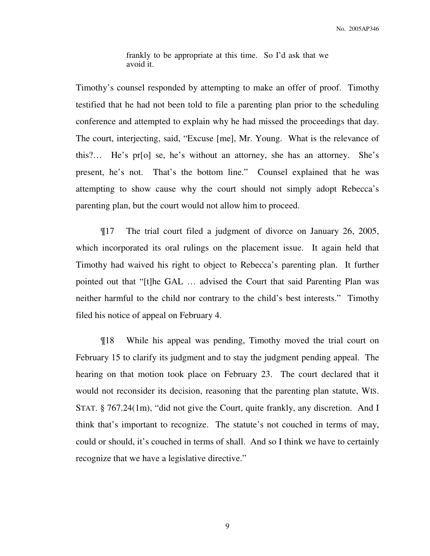frankly to be appropriate at this time. So I'd ask that we avoid it.

Timothy's counsel responded by attempting to make an offer of proof. Timothy testified that he had not been told to file a parenting plan prior to the scheduling conference and attempted to explain why he had missed the proceedings that day. The court, interjecting, said, "Excuse [me], Mr. Young. What is the relevance of this?… He's pr[o] se, he's without an attorney, she has an attorney. She's present, he's not. That's the bottom line." Counsel explained that he was attempting to show cause why the court should not simply adopt Rebecca's parenting plan, but the court would not allow him to proceed.

 ¶17 The trial court filed a judgment of divorce on January 26, 2005, which incorporated its oral rulings on the placement issue. It again held that Timothy had waived his right to object to Rebecca's parenting plan. It further pointed out that "[t]he GAL … advised the Court that said Parenting Plan was neither harmful to the child nor contrary to the child's best interests." Timothy filed his notice of appeal on February 4.

 ¶18 While his appeal was pending, Timothy moved the trial court on February 15 to clarify its judgment and to stay the judgment pending appeal. The hearing on that motion took place on February 23. The court declared that it would not reconsider its decision, reasoning that the parenting plan statute, WIS. STAT. § 767.24(1m), "did not give the Court, quite frankly, any discretion. And I think that's important to recognize. The statute's not couched in terms of may, could or should, it's couched in terms of shall. And so I think we have to certainly recognize that we have a legislative directive."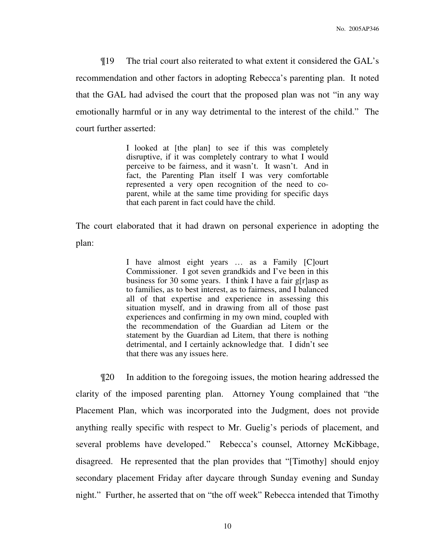¶19 The trial court also reiterated to what extent it considered the GAL's recommendation and other factors in adopting Rebecca's parenting plan. It noted that the GAL had advised the court that the proposed plan was not "in any way emotionally harmful or in any way detrimental to the interest of the child." The court further asserted:

> I looked at [the plan] to see if this was completely disruptive, if it was completely contrary to what I would perceive to be fairness, and it wasn't. It wasn't. And in fact, the Parenting Plan itself I was very comfortable represented a very open recognition of the need to coparent, while at the same time providing for specific days that each parent in fact could have the child.

The court elaborated that it had drawn on personal experience in adopting the plan:

> I have almost eight years … as a Family [C]ourt Commissioner. I got seven grandkids and I've been in this business for 30 some years. I think I have a fair g[r]asp as to families, as to best interest, as to fairness, and I balanced all of that expertise and experience in assessing this situation myself, and in drawing from all of those past experiences and confirming in my own mind, coupled with the recommendation of the Guardian ad Litem or the statement by the Guardian ad Litem, that there is nothing detrimental, and I certainly acknowledge that. I didn't see that there was any issues here.

 ¶20 In addition to the foregoing issues, the motion hearing addressed the clarity of the imposed parenting plan. Attorney Young complained that "the Placement Plan, which was incorporated into the Judgment, does not provide anything really specific with respect to Mr. Guelig's periods of placement, and several problems have developed." Rebecca's counsel, Attorney McKibbage, disagreed. He represented that the plan provides that "[Timothy] should enjoy secondary placement Friday after daycare through Sunday evening and Sunday night." Further, he asserted that on "the off week" Rebecca intended that Timothy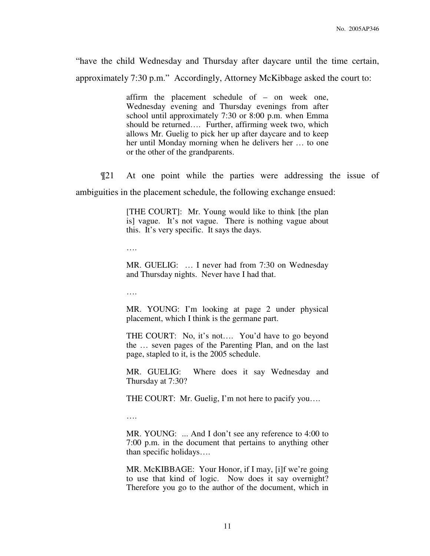"have the child Wednesday and Thursday after daycare until the time certain, approximately 7:30 p.m." Accordingly, Attorney McKibbage asked the court to:

> affirm the placement schedule of – on week one, Wednesday evening and Thursday evenings from after school until approximately 7:30 or 8:00 p.m. when Emma should be returned…. Further, affirming week two, which allows Mr. Guelig to pick her up after daycare and to keep her until Monday morning when he delivers her … to one or the other of the grandparents.

¶21 At one point while the parties were addressing the issue of

ambiguities in the placement schedule, the following exchange ensued:

[THE COURT]: Mr. Young would like to think [the plan is] vague. It's not vague. There is nothing vague about this. It's very specific. It says the days.

….

MR. GUELIG: … I never had from 7:30 on Wednesday and Thursday nights. Never have I had that.

….

MR. YOUNG: I'm looking at page 2 under physical placement, which I think is the germane part.

THE COURT: No, it's not.... You'd have to go beyond the … seven pages of the Parenting Plan, and on the last page, stapled to it, is the 2005 schedule.

MR. GUELIG: Where does it say Wednesday and Thursday at 7:30?

THE COURT: Mr. Guelig, I'm not here to pacify you….

….

MR. YOUNG: ... And I don't see any reference to 4:00 to 7:00 p.m. in the document that pertains to anything other than specific holidays….

MR. McKIBBAGE: Your Honor, if I may, [i]f we're going to use that kind of logic. Now does it say overnight? Therefore you go to the author of the document, which in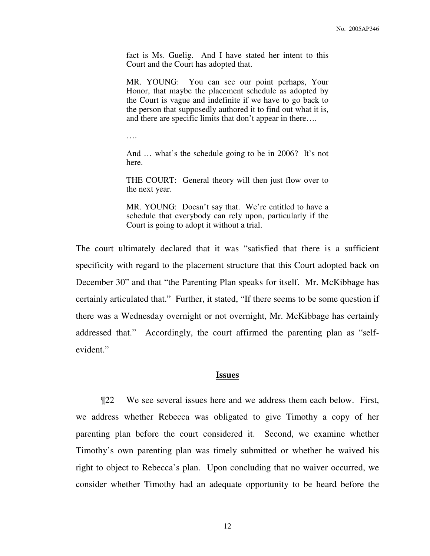fact is Ms. Guelig. And I have stated her intent to this Court and the Court has adopted that.

MR. YOUNG: You can see our point perhaps, Your Honor, that maybe the placement schedule as adopted by the Court is vague and indefinite if we have to go back to the person that supposedly authored it to find out what it is, and there are specific limits that don't appear in there….

….

And … what's the schedule going to be in 2006? It's not here.

THE COURT: General theory will then just flow over to the next year.

MR. YOUNG: Doesn't say that. We're entitled to have a schedule that everybody can rely upon, particularly if the Court is going to adopt it without a trial.

The court ultimately declared that it was "satisfied that there is a sufficient specificity with regard to the placement structure that this Court adopted back on December 30" and that "the Parenting Plan speaks for itself. Mr. McKibbage has certainly articulated that." Further, it stated, "If there seems to be some question if there was a Wednesday overnight or not overnight, Mr. McKibbage has certainly addressed that." Accordingly, the court affirmed the parenting plan as "selfevident."

#### **Issues**

 ¶22 We see several issues here and we address them each below. First, we address whether Rebecca was obligated to give Timothy a copy of her parenting plan before the court considered it. Second, we examine whether Timothy's own parenting plan was timely submitted or whether he waived his right to object to Rebecca's plan. Upon concluding that no waiver occurred, we consider whether Timothy had an adequate opportunity to be heard before the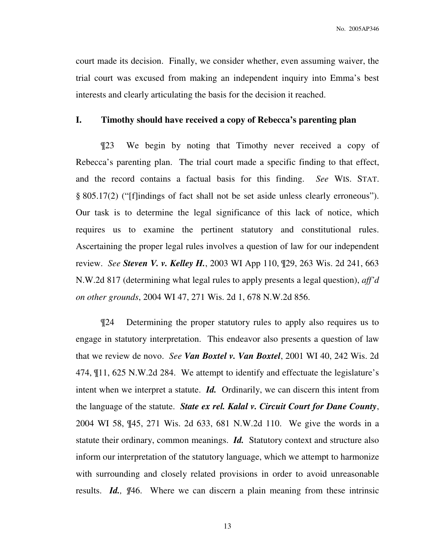court made its decision. Finally, we consider whether, even assuming waiver, the trial court was excused from making an independent inquiry into Emma's best interests and clearly articulating the basis for the decision it reached.

#### **I. Timothy should have received a copy of Rebecca's parenting plan**

¶23 We begin by noting that Timothy never received a copy of Rebecca's parenting plan. The trial court made a specific finding to that effect, and the record contains a factual basis for this finding. *See* WIS. STAT. § 805.17(2) ("[f]indings of fact shall not be set aside unless clearly erroneous"). Our task is to determine the legal significance of this lack of notice, which requires us to examine the pertinent statutory and constitutional rules. Ascertaining the proper legal rules involves a question of law for our independent review. *See Steven V. v. Kelley H.*, 2003 WI App 110, ¶29, 263 Wis. 2d 241, 663 N.W.2d 817 (determining what legal rules to apply presents a legal question), *aff'd on other grounds*, 2004 WI 47, 271 Wis. 2d 1, 678 N.W.2d 856.

¶24 Determining the proper statutory rules to apply also requires us to engage in statutory interpretation. This endeavor also presents a question of law that we review de novo. *See Van Boxtel v. Van Boxtel*, 2001 WI 40, 242 Wis. 2d 474, ¶11, 625 N.W.2d 284. We attempt to identify and effectuate the legislature's intent when we interpret a statute. *Id.* Ordinarily, we can discern this intent from the language of the statute. *State ex rel. Kalal v. Circuit Court for Dane County*, 2004 WI 58, ¶45, 271 Wis. 2d 633, 681 N.W.2d 110. We give the words in a statute their ordinary, common meanings. *Id.* Statutory context and structure also inform our interpretation of the statutory language, which we attempt to harmonize with surrounding and closely related provisions in order to avoid unreasonable results. *Id., ¶*46. Where we can discern a plain meaning from these intrinsic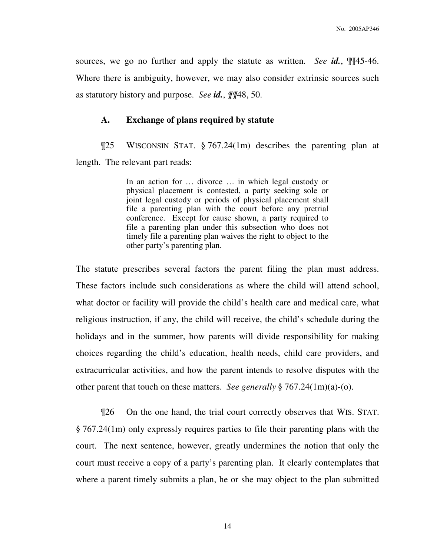sources, we go no further and apply the statute as written. *See id.*, ¶¶45-46. Where there is ambiguity, however, we may also consider extrinsic sources such as statutory history and purpose. *See id.*, *¶¶*48, 50.

#### **A. Exchange of plans required by statute**

¶25 WISCONSIN STAT. § 767.24(1m) describes the parenting plan at length. The relevant part reads:

> In an action for … divorce … in which legal custody or physical placement is contested, a party seeking sole or joint legal custody or periods of physical placement shall file a parenting plan with the court before any pretrial conference. Except for cause shown, a party required to file a parenting plan under this subsection who does not timely file a parenting plan waives the right to object to the other party's parenting plan.

The statute prescribes several factors the parent filing the plan must address. These factors include such considerations as where the child will attend school, what doctor or facility will provide the child's health care and medical care, what religious instruction, if any, the child will receive, the child's schedule during the holidays and in the summer, how parents will divide responsibility for making choices regarding the child's education, health needs, child care providers, and extracurricular activities, and how the parent intends to resolve disputes with the other parent that touch on these matters. *See generally* § 767.24(1m)(a)-(o).

¶26 On the one hand, the trial court correctly observes that WIS. STAT. § 767.24(1m) only expressly requires parties to file their parenting plans with the court. The next sentence, however, greatly undermines the notion that only the court must receive a copy of a party's parenting plan. It clearly contemplates that where a parent timely submits a plan, he or she may object to the plan submitted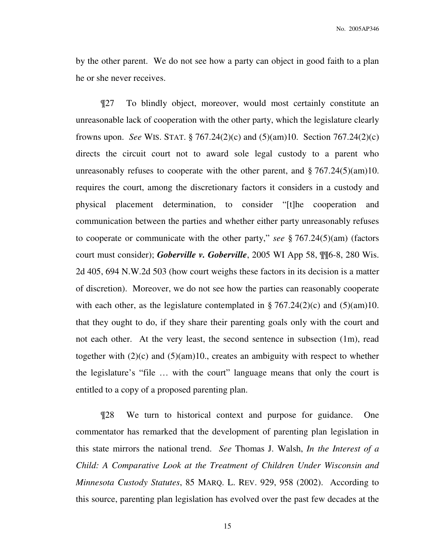by the other parent. We do not see how a party can object in good faith to a plan he or she never receives.

¶27 To blindly object, moreover, would most certainly constitute an unreasonable lack of cooperation with the other party, which the legislature clearly frowns upon. *See* WIS. STAT. § 767.24(2)(c) and (5)(am)10. Section 767.24(2)(c) directs the circuit court not to award sole legal custody to a parent who unreasonably refuses to cooperate with the other parent, and  $\S 767.24(5)(am)10$ . requires the court, among the discretionary factors it considers in a custody and physical placement determination, to consider "[t]he cooperation and communication between the parties and whether either party unreasonably refuses to cooperate or communicate with the other party," *see* § 767.24(5)(am) (factors court must consider); *Goberville v. Goberville*, 2005 WI App 58, ¶¶6-8, 280 Wis. 2d 405, 694 N.W.2d 503 (how court weighs these factors in its decision is a matter of discretion). Moreover, we do not see how the parties can reasonably cooperate with each other, as the legislature contemplated in § 767.24(2)(c) and (5)(am)10. that they ought to do, if they share their parenting goals only with the court and not each other. At the very least, the second sentence in subsection (1m), read together with  $(2)(c)$  and  $(5)(am)10$ , creates an ambiguity with respect to whether the legislature's "file … with the court" language means that only the court is entitled to a copy of a proposed parenting plan.

¶28 We turn to historical context and purpose for guidance. One commentator has remarked that the development of parenting plan legislation in this state mirrors the national trend. *See* Thomas J. Walsh, *In the Interest of a Child: A Comparative Look at the Treatment of Children Under Wisconsin and Minnesota Custody Statutes*, 85 MARQ. L. REV. 929, 958 (2002). According to this source, parenting plan legislation has evolved over the past few decades at the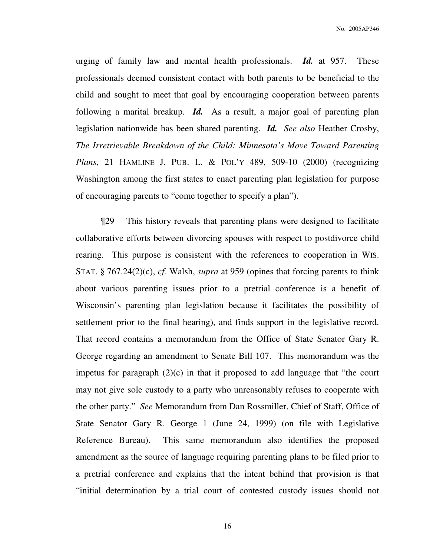urging of family law and mental health professionals. *Id.* at 957. These professionals deemed consistent contact with both parents to be beneficial to the child and sought to meet that goal by encouraging cooperation between parents following a marital breakup. *Id.* As a result, a major goal of parenting plan legislation nationwide has been shared parenting. *Id. See also* Heather Crosby, *The Irretrievable Breakdown of the Child: Minnesota's Move Toward Parenting Plans*, 21 HAMLINE J. PUB. L. & POL'Y 489, 509-10 (2000) (recognizing Washington among the first states to enact parenting plan legislation for purpose of encouraging parents to "come together to specify a plan").

¶29 This history reveals that parenting plans were designed to facilitate collaborative efforts between divorcing spouses with respect to postdivorce child rearing. This purpose is consistent with the references to cooperation in WIS. STAT. § 767.24(2)(c), *cf.* Walsh, *supra* at 959 (opines that forcing parents to think about various parenting issues prior to a pretrial conference is a benefit of Wisconsin's parenting plan legislation because it facilitates the possibility of settlement prior to the final hearing), and finds support in the legislative record. That record contains a memorandum from the Office of State Senator Gary R. George regarding an amendment to Senate Bill 107. This memorandum was the impetus for paragraph (2)(c) in that it proposed to add language that "the court may not give sole custody to a party who unreasonably refuses to cooperate with the other party." *See* Memorandum from Dan Rossmiller, Chief of Staff, Office of State Senator Gary R. George 1 (June 24, 1999) (on file with Legislative Reference Bureau). This same memorandum also identifies the proposed amendment as the source of language requiring parenting plans to be filed prior to a pretrial conference and explains that the intent behind that provision is that "initial determination by a trial court of contested custody issues should not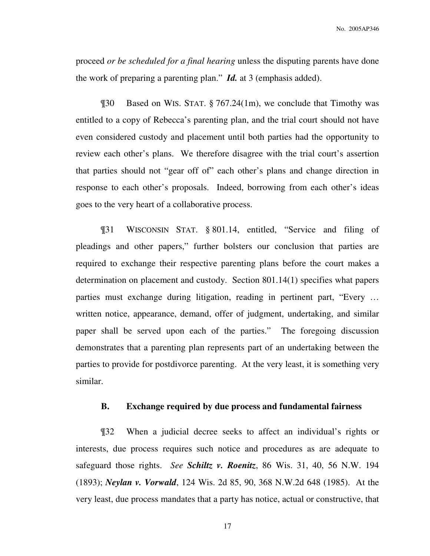No. 2005AP346

proceed *or be scheduled for a final hearing* unless the disputing parents have done the work of preparing a parenting plan." *Id.* at 3 (emphasis added).

¶30 Based on WIS. STAT. § 767.24(1m), we conclude that Timothy was entitled to a copy of Rebecca's parenting plan, and the trial court should not have even considered custody and placement until both parties had the opportunity to review each other's plans. We therefore disagree with the trial court's assertion that parties should not "gear off of" each other's plans and change direction in response to each other's proposals. Indeed, borrowing from each other's ideas goes to the very heart of a collaborative process.

¶31 WISCONSIN STAT. § 801.14, entitled, "Service and filing of pleadings and other papers," further bolsters our conclusion that parties are required to exchange their respective parenting plans before the court makes a determination on placement and custody. Section 801.14(1) specifies what papers parties must exchange during litigation, reading in pertinent part, "Every … written notice, appearance, demand, offer of judgment, undertaking, and similar paper shall be served upon each of the parties." The foregoing discussion demonstrates that a parenting plan represents part of an undertaking between the parties to provide for postdivorce parenting. At the very least, it is something very similar.

#### **B. Exchange required by due process and fundamental fairness**

¶32 When a judicial decree seeks to affect an individual's rights or interests, due process requires such notice and procedures as are adequate to safeguard those rights. *See Schiltz v. Roenitz*, 86 Wis. 31, 40, 56 N.W. 194 (1893); *Neylan v. Vorwald*, 124 Wis. 2d 85, 90, 368 N.W.2d 648 (1985). At the very least, due process mandates that a party has notice, actual or constructive, that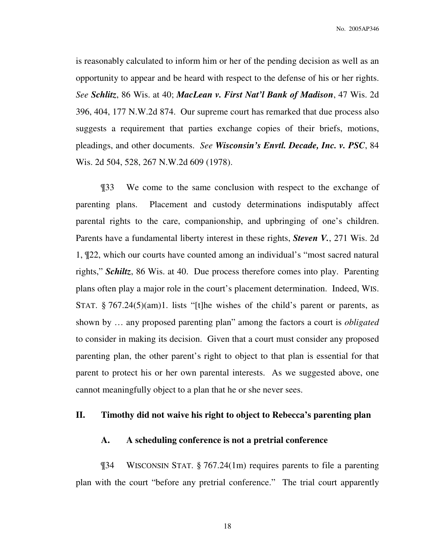No. 2005AP346

is reasonably calculated to inform him or her of the pending decision as well as an opportunity to appear and be heard with respect to the defense of his or her rights. *See Schlitz*, 86 Wis. at 40; *MacLean v. First Nat'l Bank of Madison*, 47 Wis. 2d 396, 404, 177 N.W.2d 874. Our supreme court has remarked that due process also suggests a requirement that parties exchange copies of their briefs, motions, pleadings, and other documents. *See Wisconsin's Envtl. Decade, Inc. v. PSC*, 84 Wis. 2d 504, 528, 267 N.W.2d 609 (1978).

¶33 We come to the same conclusion with respect to the exchange of parenting plans. Placement and custody determinations indisputably affect parental rights to the care, companionship, and upbringing of one's children. Parents have a fundamental liberty interest in these rights, *Steven V.*, 271 Wis. 2d 1, ¶22, which our courts have counted among an individual's "most sacred natural rights," *Schiltz*, 86 Wis. at 40. Due process therefore comes into play. Parenting plans often play a major role in the court's placement determination. Indeed, WIS. STAT.  $\S 767.24(5)(am)1$ . lists "[t]he wishes of the child's parent or parents, as shown by … any proposed parenting plan" among the factors a court is *obligated*  to consider in making its decision. Given that a court must consider any proposed parenting plan, the other parent's right to object to that plan is essential for that parent to protect his or her own parental interests. As we suggested above, one cannot meaningfully object to a plan that he or she never sees.

#### **II. Timothy did not waive his right to object to Rebecca's parenting plan**

#### **A. A scheduling conference is not a pretrial conference**

¶34 WISCONSIN STAT. § 767.24(1m) requires parents to file a parenting plan with the court "before any pretrial conference." The trial court apparently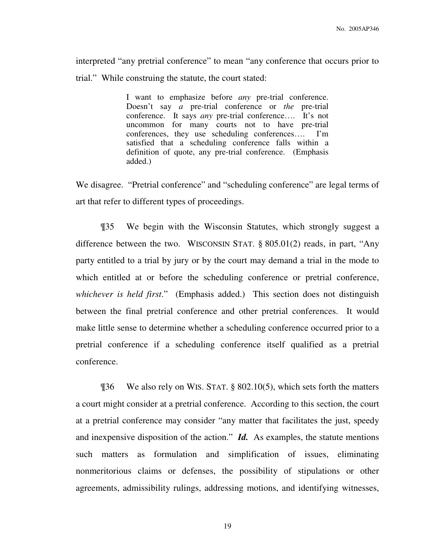interpreted "any pretrial conference" to mean "any conference that occurs prior to trial." While construing the statute, the court stated:

> I want to emphasize before *any* pre-trial conference. Doesn't say *a* pre-trial conference or *the* pre-trial conference. It says *any* pre-trial conference…. It's not uncommon for many courts not to have pre-trial conferences, they use scheduling conferences…. I'm satisfied that a scheduling conference falls within a definition of quote, any pre-trial conference. (Emphasis added.)

We disagree. "Pretrial conference" and "scheduling conference" are legal terms of art that refer to different types of proceedings.

 ¶35 We begin with the Wisconsin Statutes, which strongly suggest a difference between the two. WISCONSIN STAT. § 805.01(2) reads, in part, "Any party entitled to a trial by jury or by the court may demand a trial in the mode to which entitled at or before the scheduling conference or pretrial conference, *whichever is held first*." (Emphasis added.) This section does not distinguish between the final pretrial conference and other pretrial conferences. It would make little sense to determine whether a scheduling conference occurred prior to a pretrial conference if a scheduling conference itself qualified as a pretrial conference.

 ¶36 We also rely on WIS. STAT. § 802.10(5), which sets forth the matters a court might consider at a pretrial conference. According to this section, the court at a pretrial conference may consider "any matter that facilitates the just, speedy and inexpensive disposition of the action." *Id.* As examples, the statute mentions such matters as formulation and simplification of issues, eliminating nonmeritorious claims or defenses, the possibility of stipulations or other agreements, admissibility rulings, addressing motions, and identifying witnesses,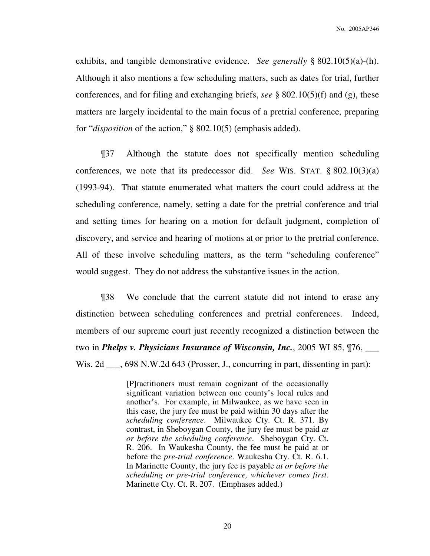exhibits, and tangible demonstrative evidence. *See generally* § 802.10(5)(a)-(h). Although it also mentions a few scheduling matters, such as dates for trial, further conferences, and for filing and exchanging briefs, *see* § 802.10(5)(f) and (g), these matters are largely incidental to the main focus of a pretrial conference, preparing for "*disposition* of the action," § 802.10(5) (emphasis added).

 ¶37 Although the statute does not specifically mention scheduling conferences, we note that its predecessor did. *See* WIS. STAT. § 802.10(3)(a) (1993-94). That statute enumerated what matters the court could address at the scheduling conference, namely, setting a date for the pretrial conference and trial and setting times for hearing on a motion for default judgment, completion of discovery, and service and hearing of motions at or prior to the pretrial conference. All of these involve scheduling matters, as the term "scheduling conference" would suggest. They do not address the substantive issues in the action.

¶38 We conclude that the current statute did not intend to erase any distinction between scheduling conferences and pretrial conferences. Indeed, members of our supreme court just recently recognized a distinction between the two in *Phelps v. Physicians Insurance of Wisconsin, Inc.*, 2005 WI 85, ¶76, \_\_\_ Wis. 2d \_\_\_, 698 N.W.2d 643 (Prosser, J., concurring in part, dissenting in part):

> [P]ractitioners must remain cognizant of the occasionally significant variation between one county's local rules and another's. For example, in Milwaukee, as we have seen in this case, the jury fee must be paid within 30 days after the *scheduling conference*. Milwaukee Cty. Ct. R. 371. By contrast, in Sheboygan County, the jury fee must be paid *at or before the scheduling conference*. Sheboygan Cty. Ct. R. 206. In Waukesha County, the fee must be paid at or before the *pre-trial conference*. Waukesha Cty. Ct. R. 6.1. In Marinette County, the jury fee is payable *at or before the scheduling or pre-trial conference, whichever comes first*. Marinette Cty. Ct. R. 207. (Emphases added.)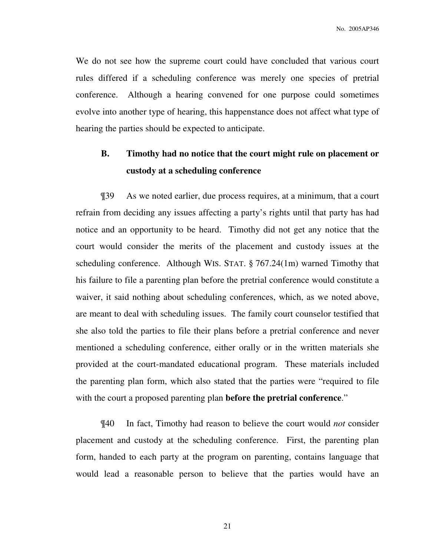We do not see how the supreme court could have concluded that various court rules differed if a scheduling conference was merely one species of pretrial conference. Although a hearing convened for one purpose could sometimes evolve into another type of hearing, this happenstance does not affect what type of hearing the parties should be expected to anticipate.

# **B. Timothy had no notice that the court might rule on placement or custody at a scheduling conference**

 ¶39 As we noted earlier, due process requires, at a minimum, that a court refrain from deciding any issues affecting a party's rights until that party has had notice and an opportunity to be heard. Timothy did not get any notice that the court would consider the merits of the placement and custody issues at the scheduling conference. Although WIS. STAT. § 767.24(1m) warned Timothy that his failure to file a parenting plan before the pretrial conference would constitute a waiver, it said nothing about scheduling conferences, which, as we noted above, are meant to deal with scheduling issues. The family court counselor testified that she also told the parties to file their plans before a pretrial conference and never mentioned a scheduling conference, either orally or in the written materials she provided at the court-mandated educational program. These materials included the parenting plan form, which also stated that the parties were "required to file with the court a proposed parenting plan **before the pretrial conference**."

 ¶40 In fact, Timothy had reason to believe the court would *not* consider placement and custody at the scheduling conference. First, the parenting plan form, handed to each party at the program on parenting, contains language that would lead a reasonable person to believe that the parties would have an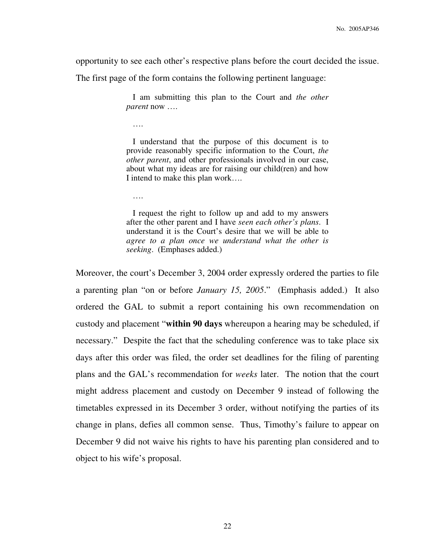opportunity to see each other's respective plans before the court decided the issue.

The first page of the form contains the following pertinent language:

 I am submitting this plan to the Court and *the other parent* now ….

….

 I understand that the purpose of this document is to provide reasonably specific information to the Court, *the other parent*, and other professionals involved in our case, about what my ideas are for raising our child(ren) and how I intend to make this plan work….

….

 I request the right to follow up and add to my answers after the other parent and I have *seen each other's plans*. I understand it is the Court's desire that we will be able to *agree to a plan once we understand what the other is seeking*. (Emphases added.)

Moreover, the court's December 3, 2004 order expressly ordered the parties to file a parenting plan "on or before *January 15, 2005*." (Emphasis added.) It also ordered the GAL to submit a report containing his own recommendation on custody and placement "**within 90 days** whereupon a hearing may be scheduled, if necessary." Despite the fact that the scheduling conference was to take place six days after this order was filed, the order set deadlines for the filing of parenting plans and the GAL's recommendation for *weeks* later. The notion that the court might address placement and custody on December 9 instead of following the timetables expressed in its December 3 order, without notifying the parties of its change in plans, defies all common sense. Thus, Timothy's failure to appear on December 9 did not waive his rights to have his parenting plan considered and to object to his wife's proposal.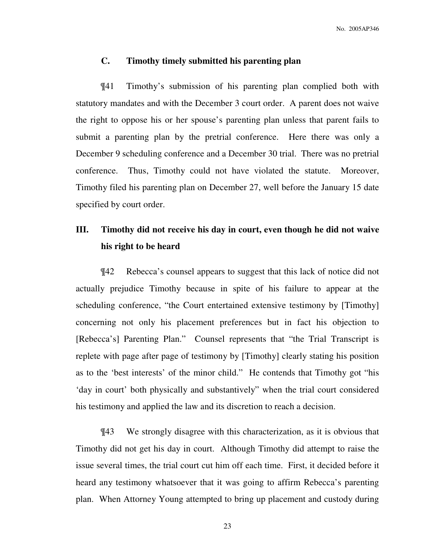#### **C. Timothy timely submitted his parenting plan**

 ¶41 Timothy's submission of his parenting plan complied both with statutory mandates and with the December 3 court order. A parent does not waive the right to oppose his or her spouse's parenting plan unless that parent fails to submit a parenting plan by the pretrial conference. Here there was only a December 9 scheduling conference and a December 30 trial. There was no pretrial conference. Thus, Timothy could not have violated the statute. Moreover, Timothy filed his parenting plan on December 27, well before the January 15 date specified by court order.

# **III. Timothy did not receive his day in court, even though he did not waive his right to be heard**

¶42 Rebecca's counsel appears to suggest that this lack of notice did not actually prejudice Timothy because in spite of his failure to appear at the scheduling conference, "the Court entertained extensive testimony by [Timothy] concerning not only his placement preferences but in fact his objection to [Rebecca's] Parenting Plan." Counsel represents that "the Trial Transcript is replete with page after page of testimony by [Timothy] clearly stating his position as to the 'best interests' of the minor child." He contends that Timothy got "his 'day in court' both physically and substantively" when the trial court considered his testimony and applied the law and its discretion to reach a decision.

¶43 We strongly disagree with this characterization, as it is obvious that Timothy did not get his day in court. Although Timothy did attempt to raise the issue several times, the trial court cut him off each time. First, it decided before it heard any testimony whatsoever that it was going to affirm Rebecca's parenting plan. When Attorney Young attempted to bring up placement and custody during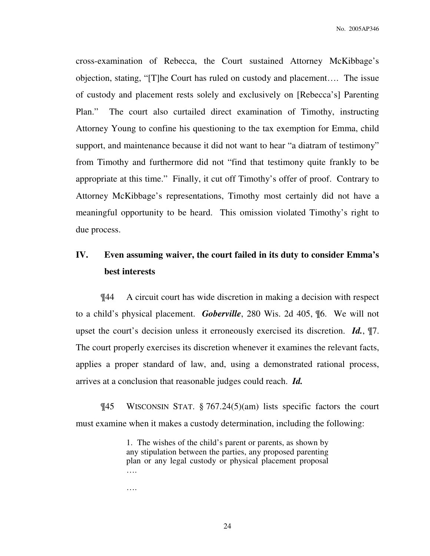cross-examination of Rebecca, the Court sustained Attorney McKibbage's objection, stating, "[T]he Court has ruled on custody and placement…. The issue of custody and placement rests solely and exclusively on [Rebecca's] Parenting Plan." The court also curtailed direct examination of Timothy, instructing Attorney Young to confine his questioning to the tax exemption for Emma, child support, and maintenance because it did not want to hear "a diatram of testimony" from Timothy and furthermore did not "find that testimony quite frankly to be appropriate at this time." Finally, it cut off Timothy's offer of proof. Contrary to Attorney McKibbage's representations, Timothy most certainly did not have a meaningful opportunity to be heard. This omission violated Timothy's right to due process.

# **IV. Even assuming waiver, the court failed in its duty to consider Emma's best interests**

¶44 A circuit court has wide discretion in making a decision with respect to a child's physical placement. *Goberville*, 280 Wis. 2d 405, ¶6. We will not upset the court's decision unless it erroneously exercised its discretion. *Id.*, ¶7. The court properly exercises its discretion whenever it examines the relevant facts, applies a proper standard of law, and, using a demonstrated rational process, arrives at a conclusion that reasonable judges could reach. *Id.*

¶45 WISCONSIN STAT. § 767.24(5)(am) lists specific factors the court must examine when it makes a custody determination, including the following:

> 1. The wishes of the child's parent or parents, as shown by any stipulation between the parties, any proposed parenting plan or any legal custody or physical placement proposal ….

….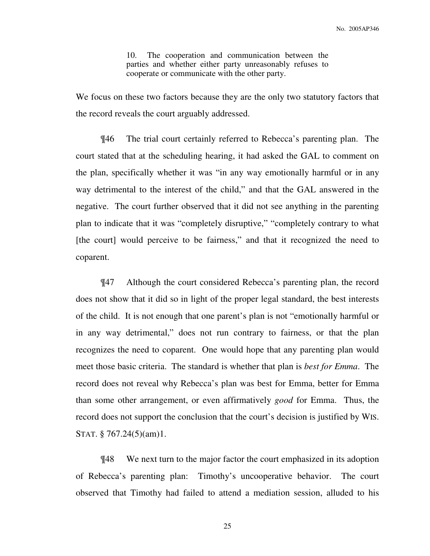10. The cooperation and communication between the parties and whether either party unreasonably refuses to cooperate or communicate with the other party.

We focus on these two factors because they are the only two statutory factors that the record reveals the court arguably addressed.

¶46 The trial court certainly referred to Rebecca's parenting plan. The court stated that at the scheduling hearing, it had asked the GAL to comment on the plan, specifically whether it was "in any way emotionally harmful or in any way detrimental to the interest of the child," and that the GAL answered in the negative. The court further observed that it did not see anything in the parenting plan to indicate that it was "completely disruptive," "completely contrary to what [the court] would perceive to be fairness," and that it recognized the need to coparent.

 ¶47 Although the court considered Rebecca's parenting plan, the record does not show that it did so in light of the proper legal standard, the best interests of the child. It is not enough that one parent's plan is not "emotionally harmful or in any way detrimental," does not run contrary to fairness, or that the plan recognizes the need to coparent. One would hope that any parenting plan would meet those basic criteria. The standard is whether that plan is *best for Emma*. The record does not reveal why Rebecca's plan was best for Emma, better for Emma than some other arrangement, or even affirmatively *good* for Emma. Thus, the record does not support the conclusion that the court's decision is justified by WIS. STAT. § 767.24(5)(am)1.

 ¶48 We next turn to the major factor the court emphasized in its adoption of Rebecca's parenting plan: Timothy's uncooperative behavior. The court observed that Timothy had failed to attend a mediation session, alluded to his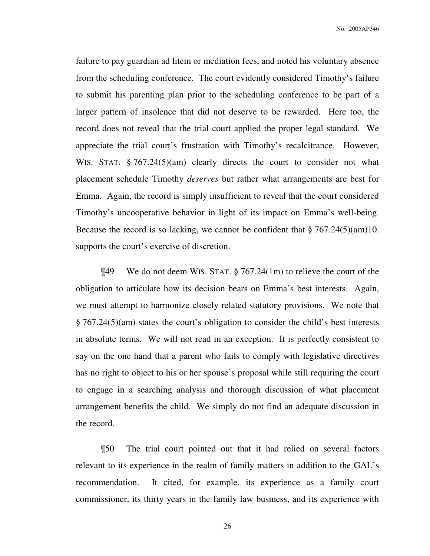failure to pay guardian ad litem or mediation fees, and noted his voluntary absence from the scheduling conference. The court evidently considered Timothy's failure to submit his parenting plan prior to the scheduling conference to be part of a larger pattern of insolence that did not deserve to be rewarded. Here too, the record does not reveal that the trial court applied the proper legal standard. We appreciate the trial court's frustration with Timothy's recalcitrance. However, WIS. STAT. § 767.24(5)(am) clearly directs the court to consider not what placement schedule Timothy *deserves* but rather what arrangements are best for Emma. Again, the record is simply insufficient to reveal that the court considered Timothy's uncooperative behavior in light of its impact on Emma's well-being. Because the record is so lacking, we cannot be confident that § 767.24(5)(am)10. supports the court's exercise of discretion.

¶49 We do not deem WIS. STAT. § 767.24(1m) to relieve the court of the obligation to articulate how its decision bears on Emma's best interests. Again, we must attempt to harmonize closely related statutory provisions. We note that § 767.24(5)(am) states the court's obligation to consider the child's best interests in absolute terms. We will not read in an exception. It is perfectly consistent to say on the one hand that a parent who fails to comply with legislative directives has no right to object to his or her spouse's proposal while still requiring the court to engage in a searching analysis and thorough discussion of what placement arrangement benefits the child. We simply do not find an adequate discussion in the record.

¶50 The trial court pointed out that it had relied on several factors relevant to its experience in the realm of family matters in addition to the GAL's recommendation. It cited, for example, its experience as a family court commissioner, its thirty years in the family law business, and its experience with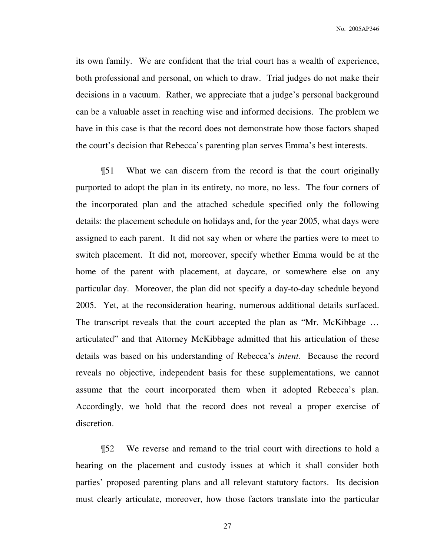No. 2005AP346

its own family. We are confident that the trial court has a wealth of experience, both professional and personal, on which to draw. Trial judges do not make their decisions in a vacuum. Rather, we appreciate that a judge's personal background can be a valuable asset in reaching wise and informed decisions. The problem we have in this case is that the record does not demonstrate how those factors shaped the court's decision that Rebecca's parenting plan serves Emma's best interests.

¶51 What we can discern from the record is that the court originally purported to adopt the plan in its entirety, no more, no less. The four corners of the incorporated plan and the attached schedule specified only the following details: the placement schedule on holidays and, for the year 2005, what days were assigned to each parent. It did not say when or where the parties were to meet to switch placement. It did not, moreover, specify whether Emma would be at the home of the parent with placement, at daycare, or somewhere else on any particular day. Moreover, the plan did not specify a day-to-day schedule beyond 2005. Yet, at the reconsideration hearing, numerous additional details surfaced. The transcript reveals that the court accepted the plan as "Mr. McKibbage ... articulated" and that Attorney McKibbage admitted that his articulation of these details was based on his understanding of Rebecca's *intent.* Because the record reveals no objective, independent basis for these supplementations, we cannot assume that the court incorporated them when it adopted Rebecca's plan. Accordingly, we hold that the record does not reveal a proper exercise of discretion.

¶52 We reverse and remand to the trial court with directions to hold a hearing on the placement and custody issues at which it shall consider both parties' proposed parenting plans and all relevant statutory factors. Its decision must clearly articulate, moreover, how those factors translate into the particular